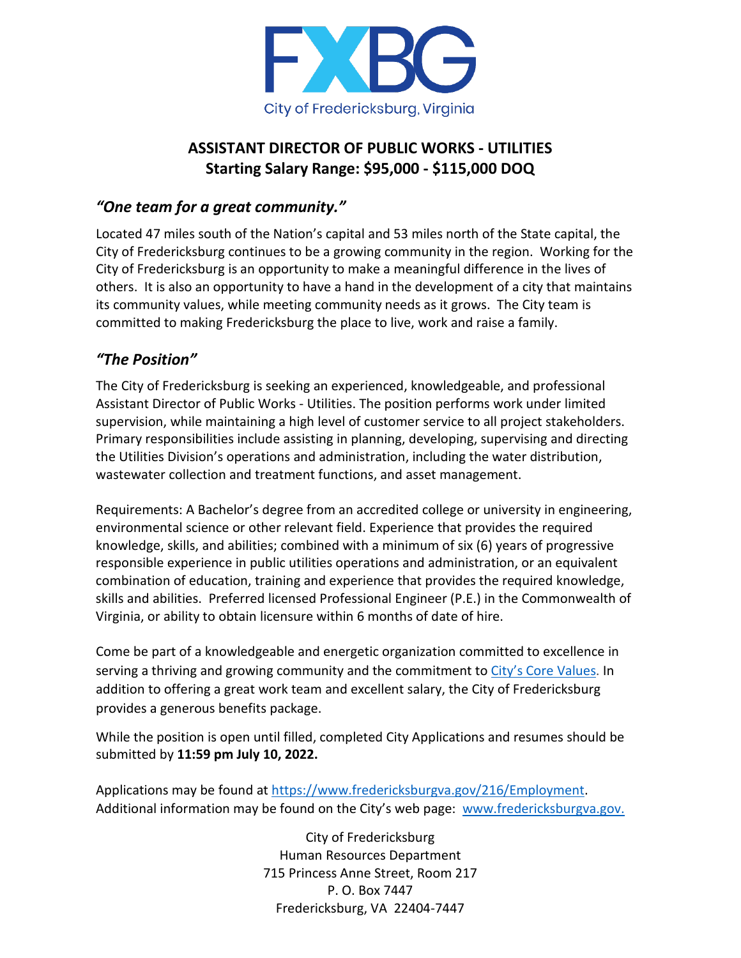

## **ASSISTANT DIRECTOR OF PUBLIC WORKS - UTILITIES Starting Salary Range: \$95,000 - \$115,000 DOQ**

## *"One team for a great community."*

Located 47 miles south of the Nation's capital and 53 miles north of the State capital, the City of Fredericksburg continues to be a growing community in the region. Working for the City of Fredericksburg is an opportunity to make a meaningful difference in the lives of others. It is also an opportunity to have a hand in the development of a city that maintains its community values, while meeting community needs as it grows. The City team is committed to making Fredericksburg the place to live, work and raise a family.

## *"The Position"*

The City of Fredericksburg is seeking an experienced, knowledgeable, and professional Assistant Director of Public Works - Utilities. The position performs work under limited supervision, while maintaining a high level of customer service to all project stakeholders. Primary responsibilities include assisting in planning, developing, supervising and directing the Utilities Division's operations and administration, including the water distribution, wastewater collection and treatment functions, and asset management.

Requirements: A Bachelor's degree from an accredited college or university in engineering, environmental science or other relevant field. Experience that provides the required knowledge, skills, and abilities; combined with a minimum of six (6) years of progressive responsible experience in public utilities operations and administration, or an equivalent combination of education, training and experience that provides the required knowledge, skills and abilities. Preferred licensed Professional Engineer (P.E.) in the Commonwealth of Virginia, or ability to obtain licensure within 6 months of date of hire.

Come be part of a knowledgeable and energetic organization committed to excellence in serving a thriving and growing community and the commitment to [City's Core Values.](https://www.fredericksburgva.gov/1400/City-Values) In addition to offering a great work team and excellent salary, the City of Fredericksburg provides a generous benefits package.

While the position is open until filled, completed City Applications and resumes should be submitted by **11:59 pm July 10, 2022.**

Applications may be found at [https://www.fredericksburgva.gov/216/Employment.](https://www.fredericksburgva.gov/216/Employment) Additional information may be found on the City's web page: [www.fredericksburgva.gov.](http://www.fredericksburgva.gov/)

> City of Fredericksburg Human Resources Department 715 Princess Anne Street, Room 217 P. O. Box 7447 Fredericksburg, VA 22404-7447